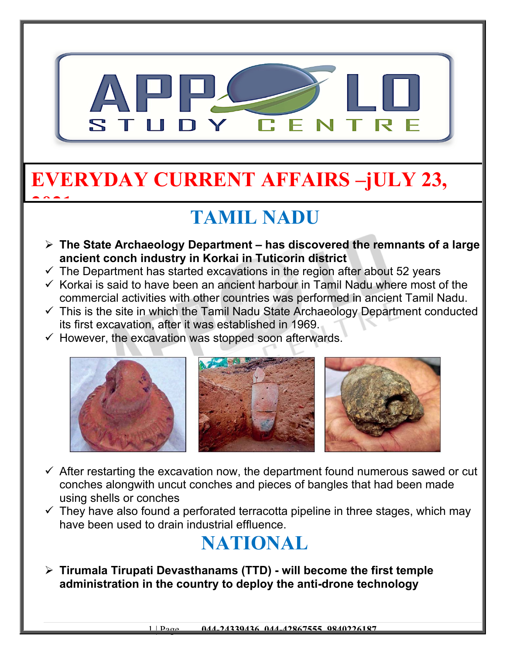

# **EVERYDAY CURRENT AFFAIRS –jULY 23,**

## **TAMIL NADU**

- **The State Archaeology Department has discovered the remnants of a large ancient conch industry in Korkai in Tuticorin district**
- $\checkmark$  The Department has started excavations in the region after about 52 years
- $\checkmark$  Korkai is said to have been an ancient harbour in Tamil Nadu where most of the commercial activities with other countries was performed in ancient Tamil Nadu.
- $\checkmark$  This is the site in which the Tamil Nadu State Archaeology Department conducted its first excavation, after it was established in 1969.
- $\checkmark$  However, the excavation was stopped soon afterwards.

**2021**



- $\checkmark$  After restarting the excavation now, the department found numerous sawed or cut conches alongwith uncut conches and pieces of bangles that had been made using shells or conches
- $\checkmark$  They have also found a perforated terracotta pipeline in three stages, which may have been used to drain industrial effluence.

### **NATIONAL**

 **Tirumala Tirupati Devasthanams (TTD) - will become the first temple administration in the country to deploy the anti-drone technology**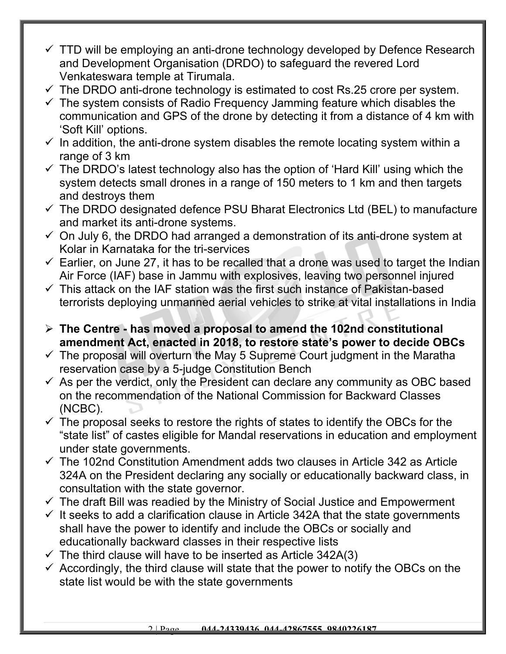- $\checkmark$  TTD will be employing an anti-drone technology developed by Defence Research and Development Organisation (DRDO) to safeguard the revered Lord Venkateswara temple at Tirumala.
- $\checkmark$  The DRDO anti-drone technology is estimated to cost Rs.25 crore per system.
- $\checkmark$  The system consists of Radio Frequency Jamming feature which disables the communication and GPS of the drone by detecting it from a distance of 4 km with 'Soft Kill' options.
- $\checkmark$  In addition, the anti-drone system disables the remote locating system within a range of 3 km
- $\checkmark$  The DRDO's latest technology also has the option of 'Hard Kill' using which the system detects small drones in a range of 150 meters to 1 km and then targets and destroys them
- $\checkmark$  The DRDO designated defence PSU Bharat Electronics Ltd (BEL) to manufacture and market its anti-drone systems.
- $\checkmark$  On July 6, the DRDO had arranged a demonstration of its anti-drone system at Kolar in Karnataka for the tri-services
- $\checkmark$  Earlier, on June 27, it has to be recalled that a drone was used to target the Indian Air Force (IAF) base in Jammu with explosives, leaving two personnel injured
- $\checkmark$  This attack on the IAF station was the first such instance of Pakistan-based terrorists deploying unmanned aerial vehicles to strike at vital installations in India
- **The Centre has moved a proposal to amend the 102nd constitutional amendment Act, enacted in 2018, to restore state's power to decide OBCs**
- $\checkmark$  The proposal will overturn the May 5 Supreme Court judgment in the Maratha reservation case by a 5-judge Constitution Bench
- $\checkmark$  As per the verdict, only the President can declare any community as OBC based on the recommendation of the National Commission for Backward Classes (NCBC).
- $\checkmark$  The proposal seeks to restore the rights of states to identify the OBCs for the "state list" of castes eligible for Mandal reservations in education and employment under state governments.
- $\checkmark$  The 102nd Constitution Amendment adds two clauses in Article 342 as Article 324A on the President declaring any socially or educationally backward class, in consultation with the state governor.
- $\checkmark$  The draft Bill was readied by the Ministry of Social Justice and Empowerment
- $\checkmark$  It seeks to add a clarification clause in Article 342A that the state governments shall have the power to identify and include the OBCs or socially and educationally backward classes in their respective lists
- $\checkmark$  The third clause will have to be inserted as Article 342A(3)
- $\checkmark$  Accordingly, the third clause will state that the power to notify the OBCs on the state list would be with the state governments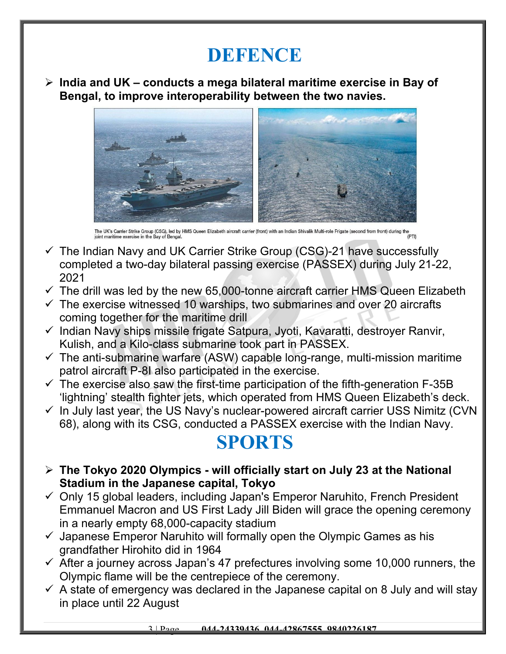#### **DEFENCE**

 **India and UK – conducts a mega bilateral maritime exercise in Bay of Bengal, to improve interoperability between the two navies.**



The UK's Carrier Strike Group (CSG), led by HMS Queen Elizabeth aircraft carrier (front) with an Indian Shivalik Multi-role Frigate (second from front) during the<br>joint maritime exercise in the Bay of Bengal.

- $\checkmark$  The Indian Navy and UK Carrier Strike Group (CSG)-21 have successfully completed a two-day bilateral passing exercise (PASSEX) during July 21-22, 2021
- $\checkmark$  The drill was led by the new 65,000-tonne aircraft carrier HMS Queen Elizabeth
- $\checkmark$  The exercise witnessed 10 warships, two submarines and over 20 aircrafts coming together for the maritime drill
- $\checkmark$  Indian Navy ships missile frigate Satpura, Jyoti, Kavaratti, destroyer Ranvir, Kulish, and a Kilo-class submarine took part in PASSEX.
- $\checkmark$  The anti-submarine warfare (ASW) capable long-range, multi-mission maritime patrol aircraft P-8I also participated in the exercise.
- $\checkmark$  The exercise also saw the first-time participation of the fifth-generation F-35B 'lightning' stealth fighter jets, which operated from HMS Queen Elizabeth's deck.
- $\checkmark$  In July last year, the US Navy's nuclear-powered aircraft carrier USS Nimitz (CVN 68), along with its CSG, conducted a PASSEX exercise with the Indian Navy.

#### **SPORTS**

- **The Tokyo 2020 Olympics will officially start on July 23 at the National Stadium in the Japanese capital, Tokyo**
- $\checkmark$  Only 15 global leaders, including Japan's Emperor Naruhito, French President Emmanuel Macron and US First Lady Jill Biden will grace the opening ceremony in a nearly empty 68,000-capacity stadium
- $\checkmark$  Japanese Emperor Naruhito will formally open the Olympic Games as his grandfather Hirohito did in 1964
- $\checkmark$  After a journey across Japan's 47 prefectures involving some 10,000 runners, the Olympic flame will be the centrepiece of the ceremony.
- $\checkmark$  A state of emergency was declared in the Japanese capital on 8 July and will stay in place until 22 August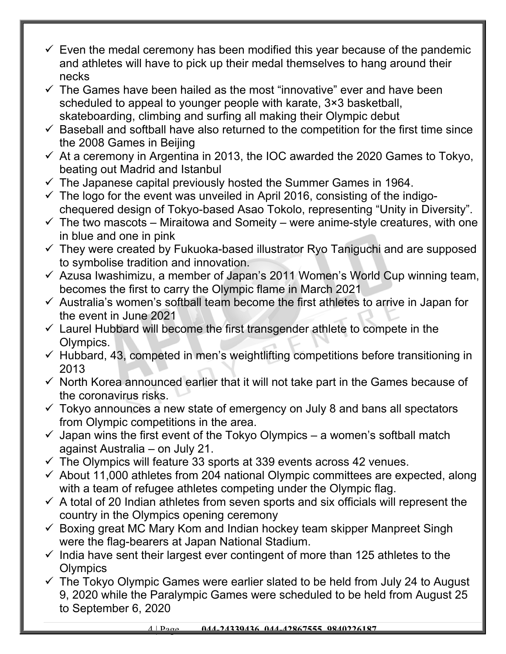- $\checkmark$  Even the medal ceremony has been modified this year because of the pandemic and athletes will have to pick up their medal themselves to hang around their necks
- $\checkmark$  The Games have been hailed as the most "innovative" ever and have been scheduled to appeal to younger people with karate, 3×3 basketball, skateboarding, climbing and surfing all making their Olympic debut
- $\checkmark$  Baseball and softball have also returned to the competition for the first time since the 2008 Games in Beijing
- $\checkmark$  At a ceremony in Argentina in 2013, the IOC awarded the 2020 Games to Tokyo, beating out Madrid and Istanbul
- $\checkmark$  The Japanese capital previously hosted the Summer Games in 1964.
- $\checkmark$  The logo for the event was unveiled in April 2016, consisting of the indigochequered design of Tokyo-based Asao Tokolo, representing "Unity in Diversity".
- $\checkmark$  The two mascots Miraitowa and Someity were anime-style creatures, with one in blue and one in pink
- $\checkmark$  They were created by Fukuoka-based illustrator Ryo Taniguchi and are supposed to symbolise tradition and innovation.
- $\checkmark$  Azusa Iwashimizu, a member of Japan's 2011 Women's World Cup winning team, becomes the first to carry the Olympic flame in March 2021
- $\checkmark$  Australia's women's softball team become the first athletes to arrive in Japan for the event in June 2021
- $\checkmark$  Laurel Hubbard will become the first transgender athlete to compete in the Olympics.
- $\checkmark$  Hubbard, 43, competed in men's weightlifting competitions before transitioning in 2013
- $\checkmark$  North Korea announced earlier that it will not take part in the Games because of the coronavirus risks.
- $\checkmark$  Tokyo announces a new state of emergency on July 8 and bans all spectators from Olympic competitions in the area.
- $\checkmark$  Japan wins the first event of the Tokyo Olympics a women's softball match against Australia – on July 21.
- $\checkmark$  The Olympics will feature 33 sports at 339 events across 42 venues.
- $\checkmark$  About 11,000 athletes from 204 national Olympic committees are expected, along with a team of refugee athletes competing under the Olympic flag.
- $\checkmark$  A total of 20 Indian athletes from seven sports and six officials will represent the country in the Olympics opening ceremony
- $\checkmark$  Boxing great MC Mary Kom and Indian hockey team skipper Manpreet Singh were the flag-bearers at Japan National Stadium.
- $\checkmark$  India have sent their largest ever contingent of more than 125 athletes to the Olympics
- $\checkmark$  The Tokyo Olympic Games were earlier slated to be held from July 24 to August 9, 2020 while the Paralympic Games were scheduled to be held from August 25 to September 6, 2020